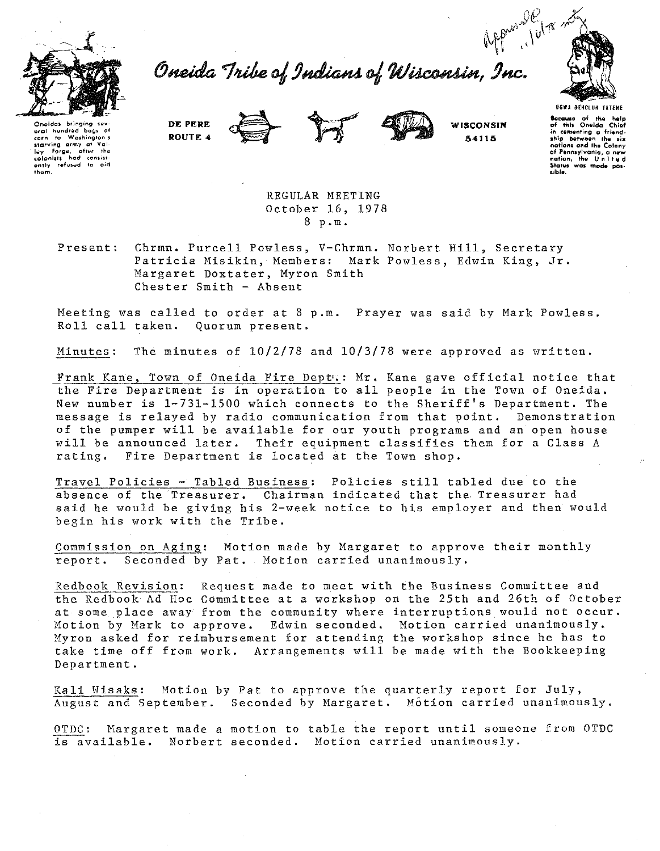

Oneida Tribe of Indians of Wisconsin, Inc.



Opeidas bringing aral hundred bags of corn to washingth started<br>starting army at Vall-<br>lay forge, ofter the<br>colonists had consist-<br>ently refused to aid  $then$ 

DE PERE ROUTE 4





WISCONSIN 54115

UGWA BEHOLUN YATENE Because of the help of this Oneida Chief<br>in cementing a friend-<br>ship between the six<br>nations and the Colony nations and my Condity<br>of Pennsylvania, a new<br>nation, the United or remissivama, a new<br>nation, the United<br>States was made possible.

REGULAR MEETING October 16, 1978 8 p.m.

Present: Chrmn. Purcell Powless, V-Chrmn. Norbert Hill, Secretary Patricia Misikin, Members: Mark Powless, Edwin King, Jr. Margaret Doxtater, Myron Smith Chester Smith - Absent

Meeting was called to order at 8 p.m. Prayer was said by Mark Powless. Roll call taken. Quorum present.

The minutes of  $10/2/78$  and  $10/3/78$  were approved as written. Minutes:

Frank Kane, Town of Oneida Fire Deptw: Mr. Kane gave official notice that the Fire Department is in operation to all people in the Town of Oneida. New number is 1-731-1500 which connects to the Sheriff's Department. The message is relayed by radio communication from that point. Demonstration of the pumper will be available for our youth programs and an open house will be announced later. Their equipment classifies them for a Class A rating. Fire Department is located at the Town shop.

Travel Policies - Tabled Business: Policies still tabled due to the absence of the Treasurer. Chairman indicated that the Treasurer had said he would be giving his 2-week notice to his employer and then would begin his work with the Tribe.

Commission on Aging: Motion made by Margaret to approve their monthly Seconded by Pat. Motion carried unanimously. report.

Redbook Revision: Request made to meet with the Business Committee and the Redbook Ad Hoc Committee at a workshop on the 25th and 26th of October at some place away from the community where interruptions would not occur. Motion by Mark to approve. Edwin seconded. Motion carried unanimously. Myron asked for reimbursement for attending the workshop since he has to take time off from work. Arrangements will be made with the Bookkeeping Department.

Kali Wisaks: Motion by Pat to approve the quarterly report for July, August and September. Seconded by Margaret. Motion carried unanimously.

Margaret made a motion to table the report until someone from OTDC OTDC: is available. Norbert seconded. Motion carried unanimously.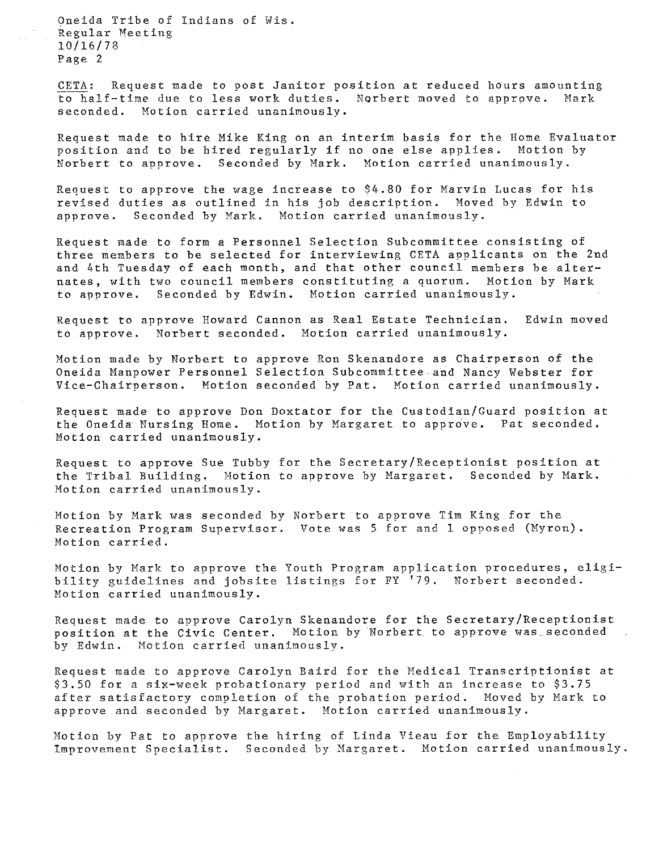Oneida Tribe of Indians of Wis. Regular Meeting 10/16/78 Page 2

CETA: Request made to post Janitor position at reduced hours amounting<br>to half-time due to less work duties. Norbert moved to annrove. Mark to half-time due to less work duties. Norbert moved to approve. seconded. Motion carried unanimously.

Request made to hire Mike King on an interim basis for the Home Evaluator position and to be hired regularly if no one else applies. Motion by Norbert to approve. Seconded by Mark. Motion carried unanimously.

Request to approve the wage increase to S4.80 for Marvin Lucas for his revised duties as outlined in his job description. Moved by Edwin to approve. Seconded by Mark. Motion carried unanimously.

Request made to form a Personnel Selection Subcommittee consisting of three members to be selected for interviewing CETA applicants on the 2nd and 4th Tuesday of each month, and that other council members be alternates, with two council members constituting a quorum. Motion by Mark<br>to approve. Seconded by Edwin. Motion carried unanimously. Seconded by Edwin. Motion carried unanimously.

Request to approve Howard Cannon as Real Estate Technician. to approve. Norbert seconded. Motion carried unanimously. Edwin moved

Motion made by Norbert to approve Ron Skenandore as Chairperson of the Oneida Manpower Personnel Selection Subcommittee and Nancy Webster for<br>Vice-Chairperson, Motion seconded by Pat. Motion carried unanimously. Motion seconded by Pat. Motion carried unanimously.

Request made to approve Don Doxtator for the Custodian/Guard position at the Oneida Nursing Home. Motion by Margaret to approve. Pat seconded. Motion carried unanimously.

Request to approve Sue Tubby for the Secretary/Receptionist position at the Tribal Building. Motion to approve by Margaret. Seconded by Mark. Motion carried unanimously.

Motion by Mark was seconded by Norbert to approve Tim King for the Recreation Program Supervisor. Vote was 5 for and 1 opposed (Myron). Motion carried.

Motion by Mark to approve the Youth Program application procedures, eligibility guidelines and jobsite listings for FY '79. Norbert seconded. Motion carried unanimously.

Request made to approve Carolyn Skenandore for the Secretary/Receptionist position at the Civic Center. Motion by Norbert. to approve was\_seconded in. by Edwin. Motion carried unanimously.

Request made to approve Carolyn Baird for the Medical Transcriptionist at \$3.50 for a six-week probationary period and with an increase to \$3.75 after satisfactory completion of the probation period. Moved by Mark to approve and seconded by Margaret. Motion carried unanimously.

Motion by Pat to approve the hiring of Linda Vieau for the Employability Improvement Specialist. Seconded by Margaret. Motion carried unanimously.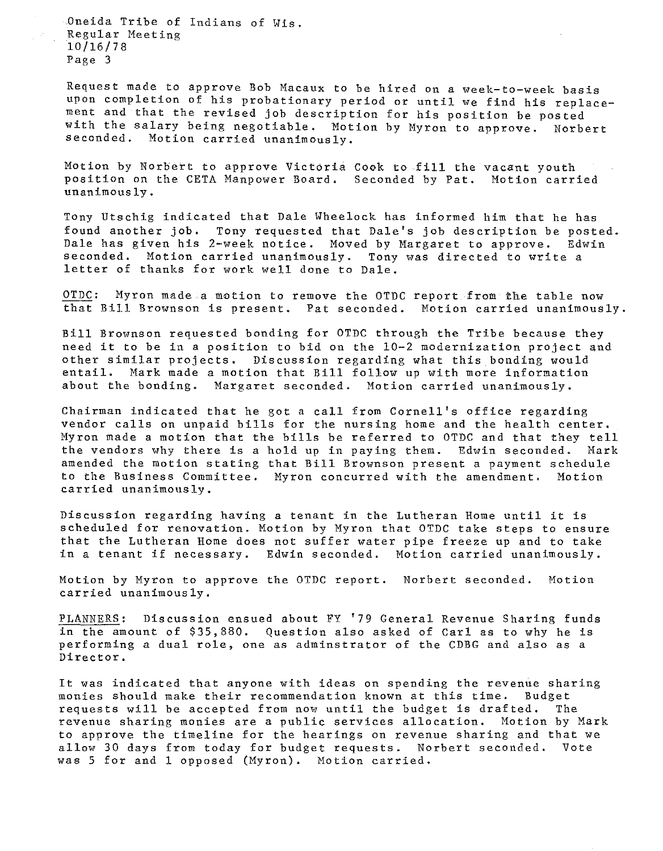Dneida Tribe of Indians of Wis. Regular Meeting 10/16/78 Page 3

Request made to approve Bob Macaux to be hired on a week-to-week basis upon completion of his probationary period or until we find his replacement and that the revised job description for his position be posted with the salary being negotiable. Motion by Myron to approve. Norbert seconded. Motion carried unanimously.

Motion by Norbert to approve Victoria Cook to fill the vacant youth position on the CETA Manpower Board. Seconded by Pat. Motion carried unanimously.

Tony Utschig indicated that Dale Wheelock has informed him that he has found another job. Tony requested that Dale's job description be posted. Dale has given his 2-week notice. Moved by Margaret to approve. Edwin seconded. Motion carried unanimously. Tony was directed to write a letter of thanks for work well done to Dale.

OTDC: Myron made a motion to remove the OTDC report from the table now that Bill Brownson is present. Pat seconded. Motion carried unanimously.

Bill Brownson requested bonding for OTDC through the Tribe because they need it to be in a position to bid on the 10-2 modernization project and other similar projects. Discussion regarding what this bonding would entail. Mark made a motion that Bill follow up with more information about the bonding. Margaret seconded. Motion carried unanimously.

Chairman indicated that he got a call from Cornell's office regarding vendor calls on unpaid bills for the nursing home and the health center. Myron made a motion that the bills be referred to OTDC and that they tell the vendors why there is a hold up in paying them. Edwin seconded. Mark amended the motion stating that Bill Brownson present a payment schedule<br>to the Business Committee. Myron concurred with the amendment. Motion to the Business Committee. Myron concurred with the amendment. carried unanimously.

Discussion regarding having a tenant in the Lutheran Home until it is scheduled for renovation. Motion by Myron that OTDC take steps to ensure that the Lutheran Home does not suffer water pipe freeze up and to take<br>in a tenant if necessary. Edwin seconded. Motion carried unanimously. in a tenant if necessary. Edwin seconded.

Motion by Myron to approve the OTDC report. Norbert seconded. Motion carried unanimously.

PLANNERS: Discussion ensued about FY '79 General Revenue Sharing funds in the amount of \$35,880. Question also asked of Carl as to why he is performing a dual role, one as adminstrator of the CDBG and also as a Director.

It was indicated that anyone with ideas on spending the revenue sharing<br>monies should make their recommendation known at this time. Budget monies should make their recommendation known at this time. requests will be accepted from now until the budget is drafted. The revenue sharing monies are a public services allocation. Motion by Mark to approve the timeline for the hearings on revenue sharing and that we allow 30 days from today for budget requests. Norbert seconded. Vote was 5 for and 1 opposed (Myron). Motion carried.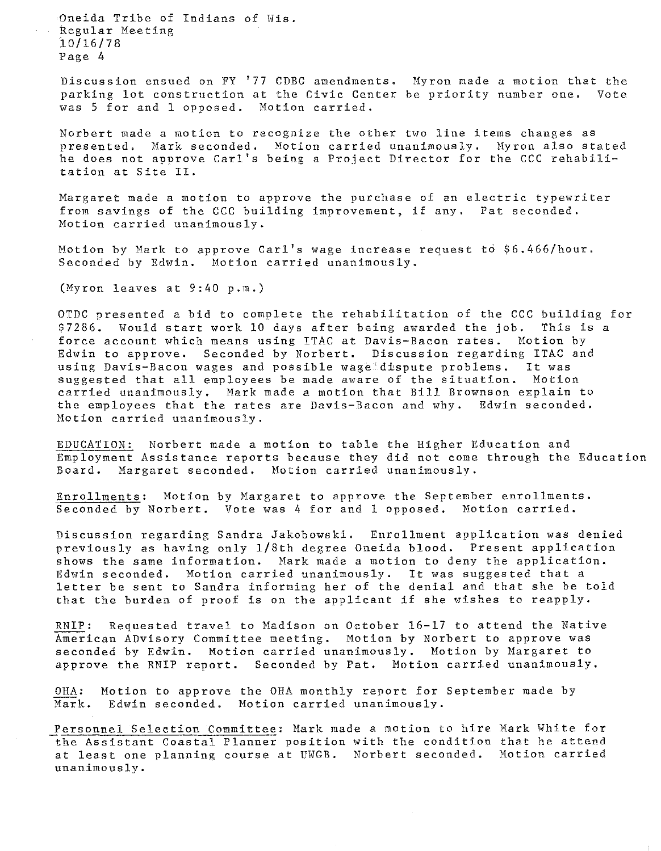Oneida Tribe of Indians of Wis. Regular Meeting io/16/78 Page 4

Discussion ensued on FY '77 CDBG amendments. Myron made a motion that the parking lot construction at the Civic Center be priority number one. Vote **was 5 for and 1 opposed. Motion carried.** 

Norbert made a motion to recognize the other two line items changes as presented. Mark seconded. Motion carried unanimously. Myron also stated he does not approve Carl's being a Project Director for the CCC rehabilitation at Site II.

Margaret made a motion to approve the purchase of an electric typewriter from savings of the CCC building improvement, if any. Pat seconded. Motion carried unanimously.

Motion by Mark to approve Carl's wage increase request to \$6.466/hour. Seconded by Edwin. Motion carried unanimously.

(Myron leaves at 9:40 p.m.)

OTDC presented a bid to complete the rehabilitation of the CCC building for \$7286. Would start work 10 days after being awarded the job. This is a force account which means using ITAC at Davis-Bacon rates. Motion by Edwin to approve. Seconded by Norbert. Discussion regarding ITAC and using Davis-Bacon wages and possible wage dispute problems. It was suggested that all employees be made aware of the situation. Motion carried unanimously. Mark made a motion that Bill Brownson explain to the employees that the rates are Davis-Bacon and why. Edwin seconded. Motion carried unanimously.

EDUCATION: Norbert made a motion to table the Higher Education and Employment Assistance reports because they did not come through the Education Board. Margaret seconded. Motion carried unanimously.

Enrollments: Motion by Margaret to approve the September enrollments. Seconded by Norbert. Vote was 4 for and 1 opposed. Motion carried.

Discussion regarding Sandra Jakobowski. Enrollment application was denied previously as having only 1/Bth degree Oneida blood. Present application shows the same information. Mark made a motion to deny the application. Edwin seconded. Motion carried unanimously. It was suggested that a letter be sent to Sandra informing her of the denial and that she be told that the burden of proof is on the applicant if she wishes to reapply.

RNIP: Requested travel to Madison on October 16-17 to attend the Native American ADvisory Committee meeting. Motion by Norbert to approve was seconded by Edwin. Motion carried unanimously. Motion by Margaret to approve the RNIP report. Seconded by Pat. Motion carried unanimously.

OHA: Motion to approve the OHA monthly report for September made by Mark. Edwin seconded. Motion carried unanimously.

Personnel Selection Committee: Mark made a motion to hire Mark White for the Assistant Coastal Planner position with the condition that he attend at least one planning course at UWGR. Norbert seconded. Motion carried unanimously.